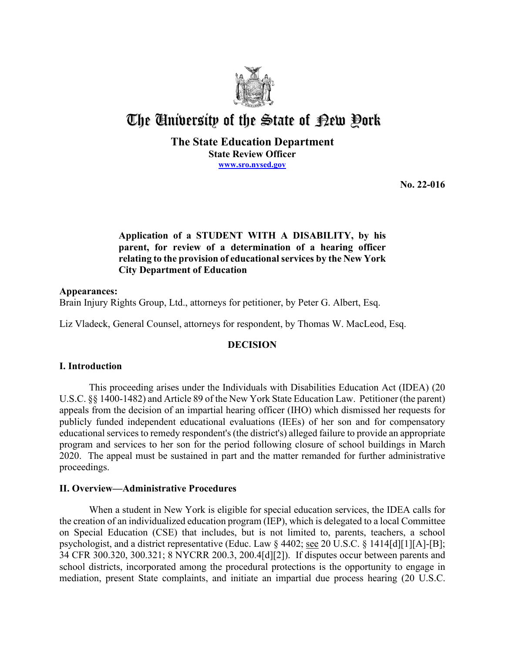

# The University of the State of Pew Pork

**The State Education Department State Review Officer [www.sro.nysed.gov](http://www.sro.nysed.gov/)** 

**No. 22-016** 

# **Application of a STUDENT WITH A DISABILITY, by his parent, for review of a determination of a hearing officer relating to the provision of educational services by the New York City Department of Education**

## **Appearances:**  Brain Injury Rights Group, Ltd., attorneys for petitioner, by Peter G. Albert, Esq.

Liz Vladeck, General Counsel, attorneys for respondent, by Thomas W. MacLeod, Esq.

# **DECISION**

# **I. Introduction**

 2020. The appeal must be sustained in part and the matter remanded for further administrative This proceeding arises under the Individuals with Disabilities Education Act (IDEA) (20 U.S.C. §§ 1400-1482) and Article 89 of the New York State Education Law. Petitioner (the parent) appeals from the decision of an impartial hearing officer (IHO) which dismissed her requests for publicly funded independent educational evaluations (IEEs) of her son and for compensatory educational services to remedy respondent's (the district's) alleged failure to provide an appropriate program and services to her son for the period following closure of school buildings in March proceedings.

## **II. Overview—Administrative Procedures**

 the creation of an individualized education program (IEP), which is delegated to a local Committee on Special Education (CSE) that includes, but is not limited to, parents, teachers, a school When a student in New York is eligible for special education services, the IDEA calls for psychologist, and a district representative (Educ. Law § 4402; see 20 U.S.C. § 1414[d][1][A]-[B]; 34 CFR 300.320, 300.321; 8 NYCRR 200.3, 200.4[d][2]). If disputes occur between parents and school districts, incorporated among the procedural protections is the opportunity to engage in mediation, present State complaints, and initiate an impartial due process hearing (20 U.S.C.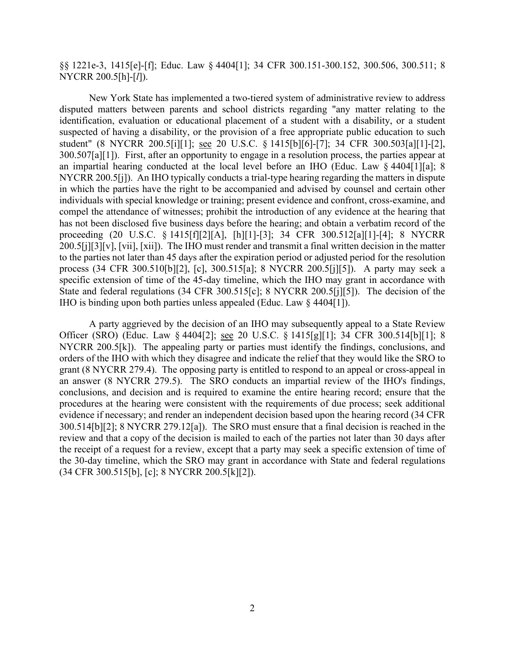§§ 1221e-3, 1415[e]-[f]; Educ. Law § 4404[1]; 34 CFR 300.151-300.152, 300.506, 300.511; 8 NYCRR 200.5[h]-[*l*]).

 disputed matters between parents and school districts regarding "any matter relating to the 300.507[a][1]). First, after an opportunity to engage in a resolution process, the parties appear at NYCRR 200.5[j]). An IHO typically conducts a trial-type hearing regarding the matters in dispute process (34 CFR 300.510[b][2], [c], 300.515[a]; 8 NYCRR 200.5[j][5]). A party may seek a IHO is binding upon both parties unless appealed (Educ. Law § 4404[1]). New York State has implemented a two-tiered system of administrative review to address identification, evaluation or educational placement of a student with a disability, or a student suspected of having a disability, or the provision of a free appropriate public education to such student" (8 NYCRR 200.5[i][1]; see 20 U.S.C. § 1415[b][6]-[7]; 34 CFR 300.503[a][1]-[2], an impartial hearing conducted at the local level before an IHO (Educ. Law § 4404[1][a]; 8 in which the parties have the right to be accompanied and advised by counsel and certain other individuals with special knowledge or training; present evidence and confront, cross-examine, and compel the attendance of witnesses; prohibit the introduction of any evidence at the hearing that has not been disclosed five business days before the hearing; and obtain a verbatim record of the proceeding (20 U.S.C. § 1415[f][2][A], [h][1]-[3]; 34 CFR 300.512[a][1]-[4]; 8 NYCRR 200.5[j][3][v], [vii], [xii]). The IHO must render and transmit a final written decision in the matter to the parties not later than 45 days after the expiration period or adjusted period for the resolution specific extension of time of the 45-day timeline, which the IHO may grant in accordance with State and federal regulations (34 CFR 300.515[c]; 8 NYCRR 200.5[j][5]). The decision of the

Officer (SRO) (Educ. Law § 4404[2]; <u>see</u> 20 U.S.C. § 1415[g][1]; 34 CFR 300.514[b][1]; 8 NYCRR 200.5[k]). The appealing party or parties must identify the findings, conclusions, and 300.514[b][2]; 8 NYCRR 279.12[a]). The SRO must ensure that a final decision is reached in the review and that a copy of the decision is mailed to each of the parties not later than 30 days after A party aggrieved by the decision of an IHO may subsequently appeal to a State Review orders of the IHO with which they disagree and indicate the relief that they would like the SRO to grant (8 NYCRR 279.4). The opposing party is entitled to respond to an appeal or cross-appeal in an answer (8 NYCRR 279.5). The SRO conducts an impartial review of the IHO's findings, conclusions, and decision and is required to examine the entire hearing record; ensure that the procedures at the hearing were consistent with the requirements of due process; seek additional evidence if necessary; and render an independent decision based upon the hearing record (34 CFR the receipt of a request for a review, except that a party may seek a specific extension of time of the 30-day timeline, which the SRO may grant in accordance with State and federal regulations (34 CFR 300.515[b], [c]; 8 NYCRR 200.5[k][2]).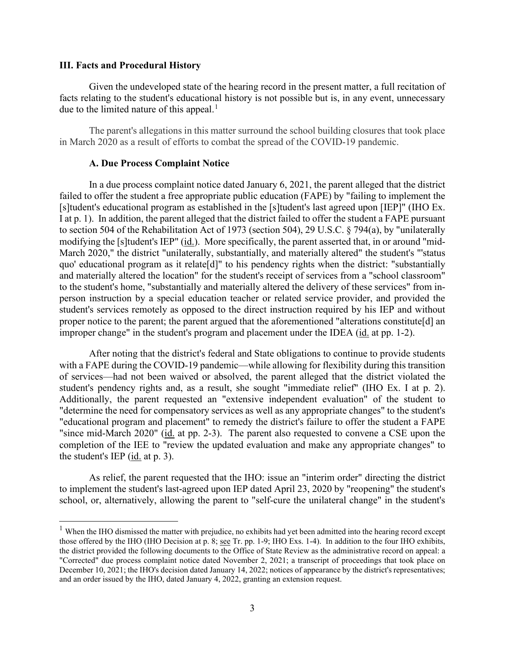#### **III. Facts and Procedural History**

 Given the undeveloped state of the hearing record in the present matter, a full recitation of facts relating to the student's educational history is not possible but is, in any event, unnecessary due to the limited nature of this appeal. $<sup>1</sup>$ </sup>

The parent's allegations in this matter surround the school building closures that took place in March 2020 as a result of efforts to combat the spread of the COVID-19 pandemic.

#### **A. Due Process Complaint Notice**

 student's services remotely as opposed to the direct instruction required by his IEP and without improper change" in the student's program and placement under the IDEA (id. at pp. 1-2). In a due process complaint notice dated January 6, 2021, the parent alleged that the district failed to offer the student a free appropriate public education (FAPE) by "failing to implement the [s]tudent's educational program as established in the [s]tudent's last agreed upon [IEP]" (IHO Ex. I at p. 1). In addition, the parent alleged that the district failed to offer the student a FAPE pursuant to section 504 of the Rehabilitation Act of 1973 (section 504), 29 U.S.C. § 794(a), by "unilaterally modifying the [s]tudent's IEP" (id.). More specifically, the parent asserted that, in or around "mid-March 2020," the district "unilaterally, substantially, and materially altered" the student's "'status quo' educational program as it relate[d]" to his pendency rights when the district: "substantially and materially altered the location" for the student's receipt of services from a "school classroom" to the student's home, "substantially and materially altered the delivery of these services" from inperson instruction by a special education teacher or related service provider, and provided the proper notice to the parent; the parent argued that the aforementioned "alterations constitute[d] an

student's pendency rights and, as a result, she sought "immediate relief" (IHO Ex. I at p. 2). the student's IEP  $(id. at p. 3)$ . After noting that the district's federal and State obligations to continue to provide students with a FAPE during the COVID-19 pandemic—while allowing for flexibility during this transition of services—had not been waived or absolved, the parent alleged that the district violated the Additionally, the parent requested an "extensive independent evaluation" of the student to "determine the need for compensatory services as well as any appropriate changes" to the student's "educational program and placement" to remedy the district's failure to offer the student a FAPE "since mid-March 2020" (id. at pp. 2-3). The parent also requested to convene a CSE upon the completion of the IEE to "review the updated evaluation and make any appropriate changes" to

As relief, the parent requested that the IHO: issue an "interim order" directing the district to implement the student's last-agreed upon IEP dated April 23, 2020 by "reopening" the student's school, or, alternatively, allowing the parent to "self-cure the unilateral change" in the student's

<span id="page-2-0"></span>those offered by the IHO (IHO Decision at p. 8; see Tr. pp. 1-9; IHO Exs. 1-4). In addition to the four IHO exhibits, <sup>1</sup> When the IHO dismissed the matter with prejudice, no exhibits had yet been admitted into the hearing record except the district provided the following documents to the Office of State Review as the administrative record on appeal: a "Corrected" due process complaint notice dated November 2, 2021; a transcript of proceedings that took place on December 10, 2021; the IHO's decision dated January 14, 2022; notices of appearance by the district's representatives; and an order issued by the IHO, dated January 4, 2022, granting an extension request.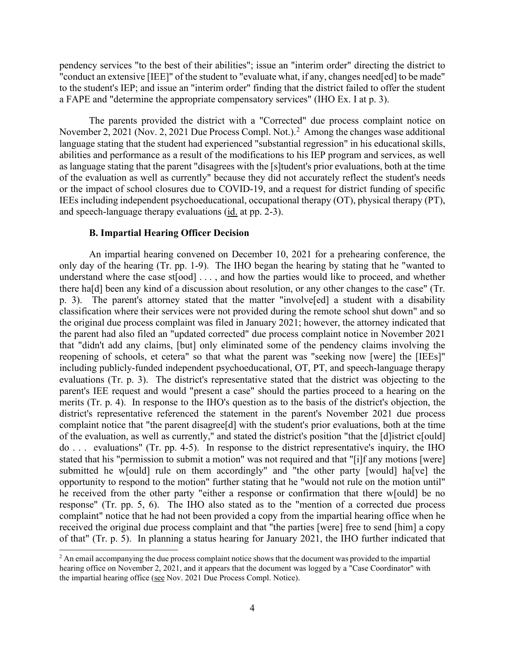a FAPE and "determine the appropriate compensatory services" (IHO Ex. I at p. 3). pendency services "to the best of their abilities"; issue an "interim order" directing the district to "conduct an extensive [IEE]" of the student to "evaluate what, if any, changes need[ed] to be made" to the student's IEP; and issue an "interim order" finding that the district failed to offer the student

November 2, 2021 (Nov. 2, 2021 Due Process Compl. Not.).<sup>2</sup> Among the changes wase additional language stating that the student had experienced "substantial regression" in his educational skills, abilities and performance as a result of the modifications to his IEP program and services, as well or the impact of school closures due to COVID-19, and a request for district funding of specific and speech-language therapy evaluations (*id.* at pp. 2-3). The parents provided the district with a "Corrected" due process complaint notice on as language stating that the parent "disagrees with the [s]tudent's prior evaluations, both at the time of the evaluation as well as currently" because they did not accurately reflect the student's needs IEEs including independent psychoeducational, occupational therapy (OT), physical therapy (PT),

#### **B. Impartial Hearing Officer Decision**

 An impartial hearing convened on December 10, 2021 for a prehearing conference, the only day of the hearing (Tr. pp. 1-9). The IHO began the hearing by stating that he "wanted to understand where the case st[ood] . . . , and how the parties would like to proceed, and whether p. 3). The parent's attorney stated that the matter "involve[ed] a student with a disability reopening of schools, et cetera" so that what the parent was "seeking now [were] the [IEEs]" evaluations (Tr. p. 3). The district's representative stated that the district was objecting to the parent's IEE request and would "present a case" should the parties proceed to a hearing on the district's representative referenced the statement in the parent's November 2021 due process complaint notice that "the parent disagree[d] with the student's prior evaluations, both at the time submitted he w[ould] rule on them accordingly" and "the other party [would] ha[ve] the response" (Tr. pp. 5, 6). The IHO also stated as to the "mention of a corrected due process received the original due process complaint and that "the parties [were] free to send [him] a copy of that" (Tr. p. 5). In planning a status hearing for January 2021, the IHO further indicated that there ha[d] been any kind of a discussion about resolution, or any other changes to the case" (Tr. classification where their services were not provided during the remote school shut down" and so the original due process complaint was filed in January 2021; however, the attorney indicated that the parent had also filed an "updated corrected" due process complaint notice in November 2021 that "didn't add any claims, [but] only eliminated some of the pendency claims involving the including publicly-funded independent psychoeducational, OT, PT, and speech-language therapy merits (Tr. p. 4). In response to the IHO's question as to the basis of the district's objection, the of the evaluation, as well as currently," and stated the district's position "that the [d]istrict c[ould] do . . . evaluations" (Tr. pp. 4-5). In response to the district representative's inquiry, the IHO stated that his "permission to submit a motion" was not required and that "[i]f any motions [were] opportunity to respond to the motion" further stating that he "would not rule on the motion until" he received from the other party "either a response or confirmation that there w[ould] be no complaint" notice that he had not been provided a copy from the impartial hearing office when he

<span id="page-3-0"></span><sup>&</sup>lt;sup>2</sup> An email accompanying the due process complaint notice shows that the document was provided to the impartial hearing office on November 2, 2021, and it appears that the document was logged by a "Case Coordinator" with the impartial hearing office (see Nov. 2021 Due Process Compl. Notice).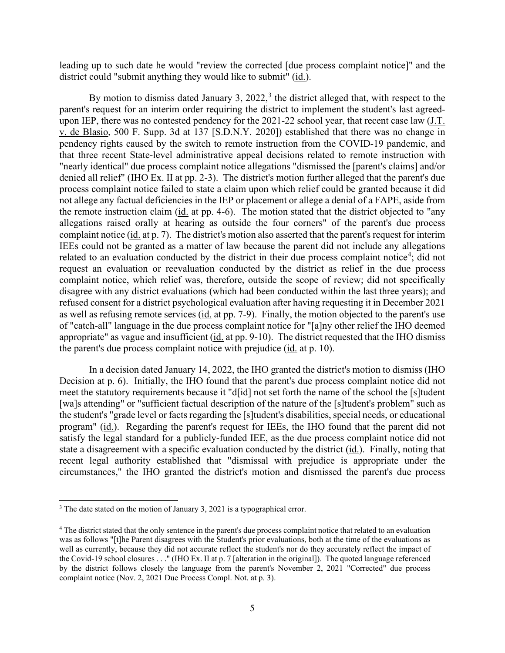district could "submit anything they would like to submit" (id.). leading up to such date he would "review the corrected [due process complaint notice]" and the

 that three recent State-level administrative appeal decisions related to remote instruction with "nearly identical" due process complaint notice allegations "dismissed the [parent's claims] and/or denied all relief" (IHO Ex. II at pp. 2-3). The district's motion further alleged that the parent's due the remote instruction claim (id. at pp. 4-6). The motion stated that the district objected to "any complaint notice (id. at p. 7). The district's motion also asserted that the parent's request for interim as well as refusing remote services (id. at pp. 7-9). Finally, the motion objected to the parent's use appropriate" as vague and insufficient (*id.* at pp. 9-10). The district requested that the IHO dismiss the parent's due process complaint notice with prejudice (*id.* at p. 10). By motion to dismiss dated January [3](#page-4-0),  $2022$ ,  $3$  the district alleged that, with respect to the parent's request for an interim order requiring the district to implement the student's last agreedupon IEP, there was no contested pendency for the 2021-22 school year, that recent case law (J.T. v. de Blasio, 500 F. Supp. 3d at 137 [S.D.N.Y. 2020]) established that there was no change in pendency rights caused by the switch to remote instruction from the COVID-19 pandemic, and process complaint notice failed to state a claim upon which relief could be granted because it did not allege any factual deficiencies in the IEP or placement or allege a denial of a FAPE, aside from allegations raised orally at hearing as outside the four corners" of the parent's due process IEEs could not be granted as a matter of law because the parent did not include any allegations related to an evaluation conducted by the district in their due process complaint notice<sup>[4](#page-4-1)</sup>; did not request an evaluation or reevaluation conducted by the district as relief in the due process complaint notice, which relief was, therefore, outside the scope of review; did not specifically disagree with any district evaluations (which had been conducted within the last three years); and refused consent for a district psychological evaluation after having requesting it in December 2021 of "catch-all" language in the due process complaint notice for "[a]ny other relief the IHO deemed

 Decision at p. 6). Initially, the IHO found that the parent's due process complaint notice did not meet the statutory requirements because it "d[id] not set forth the name of the school the [s]tudent the student's "grade level or facts regarding the [s]tudent's disabilities, special needs, or educational program" (id.). Regarding the parent's request for IEEs, the IHO found that the parent did not state a disagreement with a specific evaluation conducted by the district (*id.*). Finally, noting that recent legal authority established that "dismissal with prejudice is appropriate under the In a decision dated January 14, 2022, the IHO granted the district's motion to dismiss (IHO [wa]s attending" or "sufficient factual description of the nature of the [s]tudent's problem" such as satisfy the legal standard for a publicly-funded IEE, as the due process complaint notice did not circumstances," the IHO granted the district's motion and dismissed the parent's due process

<span id="page-4-0"></span> $3$  The date stated on the motion of January 3, 2021 is a typographical error.

<span id="page-4-1"></span><sup>&</sup>lt;sup>4</sup> The district stated that the only sentence in the parent's due process complaint notice that related to an evaluation the Covid-19 school closures . . ." (IHO Ex. II at p. 7 [alteration in the original]). The quoted language referenced by the district follows closely the language from the parent's November 2, 2021 "Corrected" due process was as follows "[t]he Parent disagrees with the Student's prior evaluations, both at the time of the evaluations as well as currently, because they did not accurate reflect the student's nor do they accurately reflect the impact of complaint notice (Nov. 2, 2021 Due Process Compl. Not. at p. 3).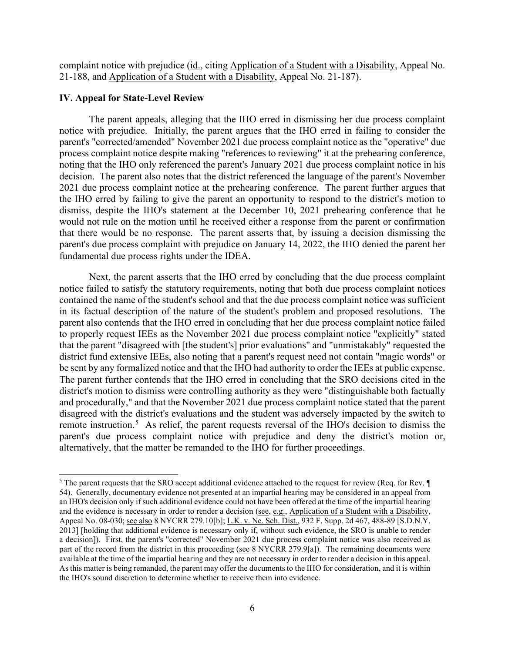complaint notice with prejudice (id., citing Application of a Student with a Disability, Appeal No. 21-188, and Application of a Student with a Disability, Appeal No. 21-187).

#### **IV. Appeal for State-Level Review**

 notice with prejudice. Initially, the parent argues that the IHO erred in failing to consider the noting that the IHO only referenced the parent's January 2021 due process complaint notice in his decision. The parent also notes that the district referenced the language of the parent's November 2021 due process complaint notice at the prehearing conference. The parent further argues that that there would be no response. The parent asserts that, by issuing a decision dismissing the fundamental due process rights under the IDEA. The parent appeals, alleging that the IHO erred in dismissing her due process complaint parent's "corrected/amended" November 2021 due process complaint notice as the "operative" due process complaint notice despite making "references to reviewing" it at the prehearing conference, the IHO erred by failing to give the parent an opportunity to respond to the district's motion to dismiss, despite the IHO's statement at the December 10, 2021 prehearing conference that he would not rule on the motion until he received either a response from the parent or confirmation parent's due process complaint with prejudice on January 14, 2022, the IHO denied the parent her

 Next, the parent asserts that the IHO erred by concluding that the due process complaint contained the name of the student's school and that the due process complaint notice was sufficient parent also contends that the IHO erred in concluding that her due process complaint notice failed to properly request IEEs as the November 2021 due process complaint notice "explicitly" stated that the parent "disagreed with [the student's] prior evaluations" and "unmistakably" requested the be sent by any formalized notice and that the IHO had authority to order the IEEs at public expense. The parent further contends that the IHO erred in concluding that the SRO decisions cited in the district's motion to dismiss were controlling authority as they were "distinguishable both factually and procedurally," and that the November 2021 due process complaint notice stated that the parent remote instruction.<sup>[5](#page-5-0)</sup> As relief, the parent requests reversal of the IHO's decision to dismiss the notice failed to satisfy the statutory requirements, noting that both due process complaint notices in its factual description of the nature of the student's problem and proposed resolutions. The district fund extensive IEEs, also noting that a parent's request need not contain "magic words" or disagreed with the district's evaluations and the student was adversely impacted by the switch to parent's due process complaint notice with prejudice and deny the district's motion or, alternatively, that the matter be remanded to the IHO for further proceedings.

<span id="page-5-0"></span> 54). Generally, documentary evidence not presented at an impartial hearing may be considered in an appeal from an IHO's decision only if such additional evidence could not have been offered at the time of the impartial hearing a decision]). First, the parent's "corrected" November 2021 due process complaint notice was also received as part of the record from the district in this proceeding (see 8 NYCRR 279.9[a]). The remaining documents were available at the time of the impartial hearing and they are not necessary in order to render a decision in this appeal. <sup>5</sup> The parent requests that the SRO accept additional evidence attached to the request for review (Req. for Rev. ¶) and the evidence is necessary in order to render a decision (see, e.g., Application of a Student with a Disability, Appeal No. 08-030; <u>see also</u> 8 NYCRR 279.10<sup>[b]</sup>; L.K. v. Ne. Sch. Dist., 932 F. Supp. 2d 467, 488-89 [S.D.N.Y. 2013] [holding that additional evidence is necessary only if, without such evidence, the SRO is unable to render As this matter is being remanded, the parent may offer the documents to the IHO for consideration, and it is within the IHO's sound discretion to determine whether to receive them into evidence.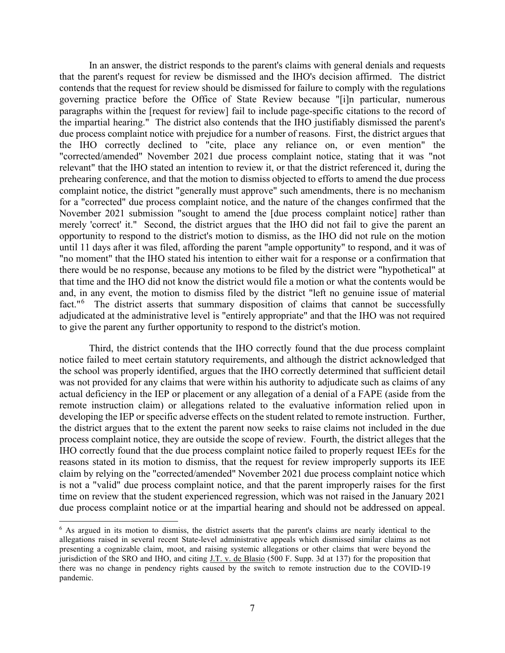that the parent's request for review be dismissed and the IHO's decision affirmed. The district paragraphs within the [request for review] fail to include page-specific citations to the record of the impartial hearing." The district also contends that the IHO justifiably dismissed the parent's due process complaint notice with prejudice for a number of reasons. First, the district argues that merely 'correct' it." Second, the district argues that the IHO did not fail to give the parent an there would be no response, because any motions to be filed by the district were "hypothetical" at that time and the IHO did not know the district would file a motion or what the contents would be fact."<sup>[6](#page-6-0)</sup> The district asserts that summary disposition of claims that cannot be successfully In an answer, the district responds to the parent's claims with general denials and requests contends that the request for review should be dismissed for failure to comply with the regulations governing practice before the Office of State Review because "[i]n particular, numerous the IHO correctly declined to "cite, place any reliance on, or even mention" the "corrected/amended" November 2021 due process complaint notice, stating that it was "not relevant" that the IHO stated an intention to review it, or that the district referenced it, during the prehearing conference, and that the motion to dismiss objected to efforts to amend the due process complaint notice, the district "generally must approve" such amendments, there is no mechanism for a "corrected" due process complaint notice, and the nature of the changes confirmed that the November 2021 submission "sought to amend the [due process complaint notice] rather than opportunity to respond to the district's motion to dismiss, as the IHO did not rule on the motion until 11 days after it was filed, affording the parent "ample opportunity" to respond, and it was of "no moment" that the IHO stated his intention to either wait for a response or a confirmation that and, in any event, the motion to dismiss filed by the district "left no genuine issue of material adjudicated at the administrative level is "entirely appropriate" and that the IHO was not required to give the parent any further opportunity to respond to the district's motion.

 was not provided for any claims that were within his authority to adjudicate such as claims of any developing the IEP or specific adverse effects on the student related to remote instruction. Further, process complaint notice, they are outside the scope of review. Fourth, the district alleges that the IHO correctly found that the due process complaint notice failed to properly request IEEs for the reasons stated in its motion to dismiss, that the request for review improperly supports its IEE time on review that the student experienced regression, which was not raised in the January 2021 due process complaint notice or at the impartial hearing and should not be addressed on appeal. Third, the district contends that the IHO correctly found that the due process complaint notice failed to meet certain statutory requirements, and although the district acknowledged that the school was properly identified, argues that the IHO correctly determined that sufficient detail actual deficiency in the IEP or placement or any allegation of a denial of a FAPE (aside from the remote instruction claim) or allegations related to the evaluative information relied upon in the district argues that to the extent the parent now seeks to raise claims not included in the due claim by relying on the "corrected/amended" November 2021 due process complaint notice which is not a "valid" due process complaint notice, and that the parent improperly raises for the first

<span id="page-6-0"></span> allegations raised in several recent State-level administrative appeals which dismissed similar claims as not presenting a cognizable claim, moot, and raising systemic allegations or other claims that were beyond the jurisdiction of the SRO and IHO, and citing  $J.T. v.$  de Blasio (500 F. Supp. 3d at 137) for the proposition that  $6$  As argued in its motion to dismiss, the district asserts that the parent's claims are nearly identical to the there was no change in pendency rights caused by the switch to remote instruction due to the COVID-19 pandemic.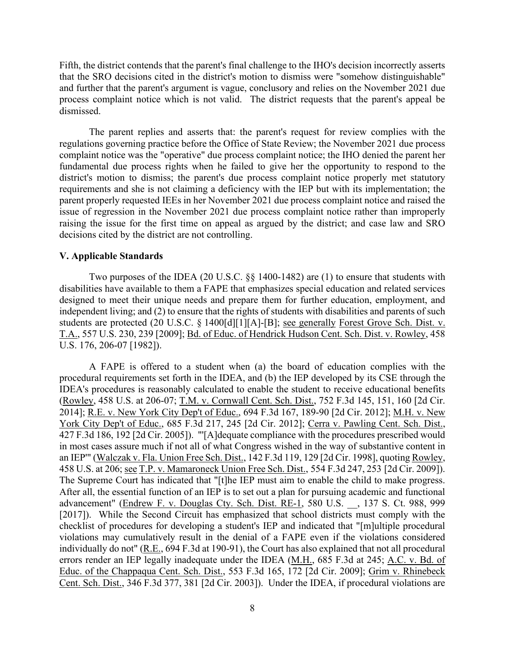process complaint notice which is not valid. The district requests that the parent's appeal be Fifth, the district contends that the parent's final challenge to the IHO's decision incorrectly asserts that the SRO decisions cited in the district's motion to dismiss were "somehow distinguishable" and further that the parent's argument is vague, conclusory and relies on the November 2021 due dismissed.

 parent properly requested IEEs in her November 2021 due process complaint notice and raised the raising the issue for the first time on appeal as argued by the district; and case law and SRO The parent replies and asserts that: the parent's request for review complies with the regulations governing practice before the Office of State Review; the November 2021 due process complaint notice was the "operative" due process complaint notice; the IHO denied the parent her fundamental due process rights when he failed to give her the opportunity to respond to the district's motion to dismiss; the parent's due process complaint notice properly met statutory requirements and she is not claiming a deficiency with the IEP but with its implementation; the issue of regression in the November 2021 due process complaint notice rather than improperly decisions cited by the district are not controlling.

#### **V. Applicable Standards**

Two purposes of the IDEA (20 U.S.C. §§ 1400-1482) are (1) to ensure that students with disabilities have available to them a FAPE that emphasizes special education and related services designed to meet their unique needs and prepare them for further education, employment, and independent living; and (2) to ensure that the rights of students with disabilities and parents of such students are protected (20 U.S.C. § 1400[d][1][A]-[B]; see generally Forest Grove Sch. Dist. v. T.A., 557 U.S. 230, 239 [2009]; Bd. of Educ. of Hendrick Hudson Cent. Sch. Dist. v. Rowley, 458 U.S. 176, 206-07 [1982]).

 A FAPE is offered to a student when (a) the board of education complies with the procedural requirements set forth in the IDEA, and (b) the IEP developed by its CSE through the 2014]; <u>R.E. v. New York City Dep't of Educ.</u>, 694 F.3d 167, 189-90 [2d Cir. 2012]; <u>M.H. v. New</u> 458 U.S. at 206; see T.P. v. Mamaroneck Union Free Sch. Dist., 554 F.3d 247, 253 [2d Cir. 2009]). errors render an IEP legally inadequate under the IDEA (M.H., 685 F.3d at 245; A.C. v. Bd. of IDEA's procedures is reasonably calculated to enable the student to receive educational benefits (Rowley, 458 U.S. at 206-07; T.M. v. Cornwall Cent. Sch. Dist., 752 F.3d 145, 151, 160 [2d Cir. York City Dep't of Educ., 685 F.3d 217, 245 [2d Cir. 2012]; Cerra v. Pawling Cent. Sch. Dist., 427 F.3d 186, 192 [2d Cir. 2005]). "'[A]dequate compliance with the procedures prescribed would in most cases assure much if not all of what Congress wished in the way of substantive content in an IEP"" (Walczak v. Fla. Union Free Sch. Dist., 142 F.3d 119, 129 [2d Cir. 1998], quoting Rowley, 458 U.S. at 206; <u>see T.P. v. Mamaroneck Union Free Sch. Dist.</u>, 554 F.3d 247, 253 [2d Cir. 2009]).<br>The Supreme Court has indicated that "[t]he IEP must aim to enable the child to make progress.<br>After all, the essential fu advancement" (Endrew F. v. Douglas Cty. Sch. Dist. RE-1, 580 U.S. \_\_, 137 S. Ct. 988, 999 [2017]). While the Second Circuit has emphasized that school districts must comply with the checklist of procedures for developing a student's IEP and indicated that "[m]ultiple procedural violations may cumulatively result in the denial of a FAPE even if the violations considered individually do not" (R.E., 694 F.3d at 190-91), the Court has also explained that not all procedural Educ. of the Chappaqua Cent. Sch. Dist., 553 F.3d 165, 172 [2d Cir. 2009]; Grim v. Rhinebeck Cent. Sch. Dist., 346 F.3d 377, 381 [2d Cir. 2003]). Under the IDEA, if procedural violations are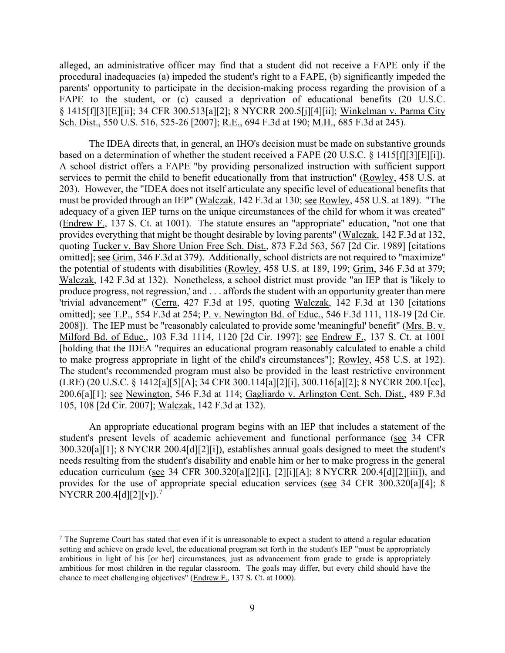parents' opportunity to participate in the decision-making process regarding the provision of a alleged, an administrative officer may find that a student did not receive a FAPE only if the procedural inadequacies (a) impeded the student's right to a FAPE, (b) significantly impeded the FAPE to the student, or (c) caused a deprivation of educational benefits (20 U.S.C. § 1415[f][3][E][ii]; 34 CFR 300.513[a][2]; 8 NYCRR 200.5[j][4][ii]; Winkelman v. Parma City Sch. Dist., 550 U.S. 516, 525-26 [2007]; R.E., 694 F.3d at 190; M.H., 685 F.3d at 245).

based on a determination of whether the student received a FAPE (20 U.S.C. § 1415[f][3][E][i]). adequacy of a given IEP turns on the unique circumstances of the child for whom it was created" produce progress, not regression,' and . . . affords the student with an opportunity greater than mere 200.6[a][1]; <u>see Newington,</u> 546 F.3d at 114; Gagliardo v. Arlington Cent. Sch. Dist., 489 F.3d The IDEA directs that, in general, an IHO's decision must be made on substantive grounds A school district offers a FAPE "by providing personalized instruction with sufficient support services to permit the child to benefit educationally from that instruction" (Rowley, 458 U.S. at 203). However, the "IDEA does not itself articulate any specific level of educational benefits that must be provided through an IEP" (Walczak, 142 F.3d at 130; see Rowley, 458 U.S. at 189). "The (Endrew F., 137 S. Ct. at 1001). The statute ensures an "appropriate" education, "not one that provides everything that might be thought desirable by loving parents" (Walczak, 142 F.3d at 132, quoting Tucker v. Bay Shore Union Free Sch. Dist., 873 F.2d 563, 567 [2d Cir. 1989] [citations omitted]; see Grim, 346 F.3d at 379). Additionally, school districts are not required to "maximize" the potential of students with disabilities (Rowley, 458 U.S. at 189, 199; Grim, 346 F.3d at 379; Walczak, 142 F.3d at 132). Nonetheless, a school district must provide "an IEP that is 'likely to 'trivial advancement'" (Cerra, 427 F.3d at 195, quoting Walczak, 142 F.3d at 130 [citations omitted]; see T.P., 554 F.3d at 254; P. v. Newington Bd. of Educ., 546 F.3d 111, 118-19 [2d Cir. 2008]). The IEP must be "reasonably calculated to provide some 'meaningful' benefit" (Mrs. B. v. Milford Bd. of Educ., 103 F.3d 1114, 1120 [2d Cir. 1997]; see Endrew F., 137 S. Ct. at 1001 [holding that the IDEA "requires an educational program reasonably calculated to enable a child to make progress appropriate in light of the child's circumstances"]; Rowley, 458 U.S. at 192). The student's recommended program must also be provided in the least restrictive environment (LRE) (20 U.S.C. § 1412[a][5][A]; 34 CFR 300.114[a][2][i], 300.116[a][2]; 8 NYCRR 200.1[cc], 105, 108 [2d Cir. 2007]; Walczak, 142 F.3d at 132).

An appropriate educational program begins with an IEP that includes a statement of the student's present levels of academic achievement and functional performance (see 34 CFR 300.320[a][1]; 8 NYCRR 200.4[d][2][i]), establishes annual goals designed to meet the student's needs resulting from the student's disability and enable him or her to make progress in the general education curriculum (see 34 CFR 300.320[a][2][i], [2][i][A]; 8 NYCRR 200.4[d][2][iii]), and provides for the use of appropriate special education services (see 34 CFR 300.320[a][4]; 8 NYCRR 200.4[d][2][v]).<sup>7</sup>

<span id="page-8-0"></span> ambitious in light of his [or her] circumstances, just as advancement from grade to grade is appropriately <sup>7</sup> The Supreme Court has stated that even if it is unreasonable to expect a student to attend a regular education setting and achieve on grade level, the educational program set forth in the student's IEP "must be appropriately ambitious for most children in the regular classroom. The goals may differ, but every child should have the chance to meet challenging objectives" (Endrew F., 137 S. Ct. at 1000).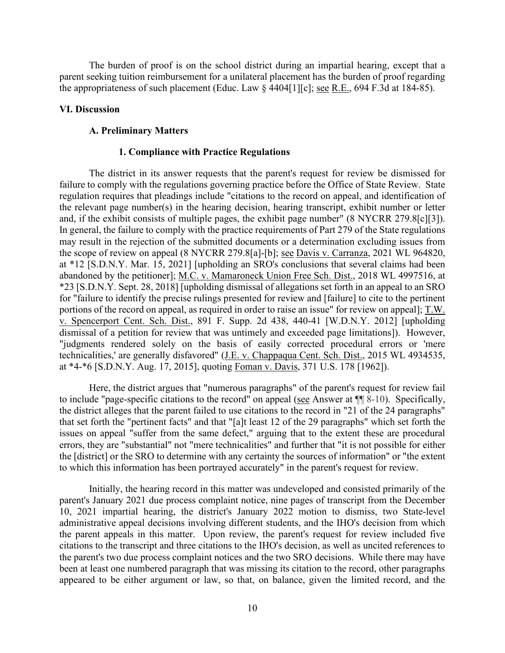the appropriateness of such placement (Educ. Law  $\S$  4404[1][c]; <u>see R.E.</u>, 694 F.3d at 184-85). The burden of proof is on the school district during an impartial hearing, except that a parent seeking tuition reimbursement for a unilateral placement has the burden of proof regarding

#### **VI. Discussion**

#### **A. Preliminary Matters**

#### **1. Compliance with Practice Regulations**

portions of the record on appeal, as required in order to raise an issue" for review on appeal]; T.W. dismissal of a petition for review that was untimely and exceeded page limitations]). However, The district in its answer requests that the parent's request for review be dismissed for failure to comply with the regulations governing practice before the Office of State Review. State regulation requires that pleadings include "citations to the record on appeal, and identification of the relevant page number(s) in the hearing decision, hearing transcript, exhibit number or letter and, if the exhibit consists of multiple pages, the exhibit page number" (8 NYCRR 279.8[c][3]). In general, the failure to comply with the practice requirements of Part 279 of the State regulations may result in the rejection of the submitted documents or a determination excluding issues from the scope of review on appeal (8 NYCRR 279.8[a]-[b]; <u>see Davis v. Carranza</u>, 2021 WL 964820, at \*12 [S.D.N.Y. Mar. 15, 2021] [upholding an SRO's conclusions that several claims had been abandoned by the petitioner]; M.C. v. Mamaroneck Union Free Sch. Dist., 2018 WL 4997516, at \*23 [S.D.N.Y. Sept. 28, 2018] [upholding dismissal of allegations set forth in an appeal to an SRO for "failure to identify the precise rulings presented for review and [failure] to cite to the pertinent v. Spencerport Cent. Sch. Dist., 891 F. Supp. 2d 438, 440-41 [W.D.N.Y. 2012] [upholding "judgments rendered solely on the basis of easily corrected procedural errors or 'mere technicalities,' are generally disfavored" (J.E. v. Chappaqua Cent. Sch. Dist., 2015 WL 4934535, at \*4-\*6 [S.D.N.Y. Aug. 17, 2015], quoting Foman v. Davis, 371 U.S. 178 [1962]).

 Here, the district argues that "numerous paragraphs" of the parent's request for review fail to include "page-specific citations to the record" on appeal (see Answer at  $\P$  8-10). Specifically, that set forth the "pertinent facts" and that "[a]t least 12 of the 29 paragraphs" which set forth the the [district] or the SRO to determine with any certainty the sources of information" or "the extent to which this information has been portrayed accurately" in the parent's request for review. the district alleges that the parent failed to use citations to the record in "21 of the 24 paragraphs" issues on appeal "suffer from the same defect," arguing that to the extent these are procedural errors, they are "substantial" not "mere technicalities" and further that "it is not possible for either

 Initially, the hearing record in this matter was undeveloped and consisted primarily of the administrative appeal decisions involving different students, and the IHO's decision from which the parent appeals in this matter. Upon review, the parent's request for review included five citations to the transcript and three citations to the IHO's decision, as well as uncited references to the parent's two due process complaint notices and the two SRO decisions. While there may have been at least one numbered paragraph that was missing its citation to the record, other paragraphs appeared to be either argument or law, so that, on balance, given the limited record, and the parent's January 2021 due process complaint notice, nine pages of transcript from the December 10, 2021 impartial hearing, the district's January 2022 motion to dismiss, two State-level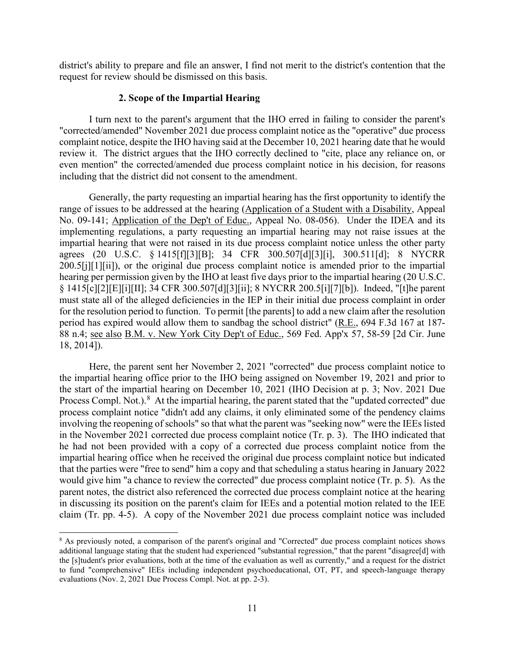request for review should be dismissed on this basis. district's ability to prepare and file an answer, I find not merit to the district's contention that the

# **2. Scope of the Impartial Hearing**

 review it. The district argues that the IHO correctly declined to "cite, place any reliance on, or including that the district did not consent to the amendment. I turn next to the parent's argument that the IHO erred in failing to consider the parent's "corrected/amended" November 2021 due process complaint notice as the "operative" due process complaint notice, despite the IHO having said at the December 10, 2021 hearing date that he would even mention" the corrected/amended due process complaint notice in his decision, for reasons

 impartial hearing that were not raised in its due process complaint notice unless the other party Generally, the party requesting an impartial hearing has the first opportunity to identify the range of issues to be addressed at the hearing (Application of a Student with a Disability, Appeal No. 09-141; Application of the Dep't of Educ., Appeal No. 08-056). Under the IDEA and its implementing regulations, a party requesting an impartial hearing may not raise issues at the agrees (20 U.S.C. § 1415[f][3][B]; 34 CFR 300.507[d][3][i], 300.511[d]; 8 NYCRR 200.5[j][1][ii]), or the original due process complaint notice is amended prior to the impartial hearing per permission given by the IHO at least five days prior to the impartial hearing (20 U.S.C. § 1415[c][2][E][i][II]; 34 CFR 300.507[d][3][ii]; 8 NYCRR 200.5[i][7][b]). Indeed, "[t]he parent must state all of the alleged deficiencies in the IEP in their initial due process complaint in order for the resolution period to function. To permit [the parents] to add a new claim after the resolution period has expired would allow them to sandbag the school district" (R.E., 694 F.3d 167 at 187- 88 n.4; see also B.M. v. New York City Dep't of Educ., 569 Fed. App'x 57, 58-59 [2d Cir. June 18, 2014]).

Process Compl. Not.). $8$  At the impartial hearing, the parent stated that the "updated corrected" due he had not been provided with a copy of a corrected due process complaint notice from the impartial hearing office when he received the original due process complaint notice but indicated that the parties were "free to send" him a copy and that scheduling a status hearing in January 2022 would give him "a chance to review the corrected" due process complaint notice (Tr. p. 5). As the claim (Tr. pp. 4-5). A copy of the November 2021 due process complaint notice was included Here, the parent sent her November 2, 2021 "corrected" due process complaint notice to the impartial hearing office prior to the IHO being assigned on November 19, 2021 and prior to the start of the impartial hearing on December 10, 2021 (IHO Decision at p. 3; Nov. 2021 Due process complaint notice "didn't add any claims, it only eliminated some of the pendency claims involving the reopening of schools" so that what the parent was "seeking now" were the IEEs listed in the November 2021 corrected due process complaint notice (Tr. p. 3). The IHO indicated that parent notes, the district also referenced the corrected due process complaint notice at the hearing in discussing its position on the parent's claim for IEEs and a potential motion related to the IEE

<span id="page-10-0"></span><sup>&</sup>lt;sup>8</sup> As previously noted, a comparison of the parent's original and "Corrected" due process complaint notices shows the [s]tudent's prior evaluations, both at the time of the evaluation as well as currently," and a request for the district additional language stating that the student had experienced "substantial regression," that the parent "disagree[d] with to fund "comprehensive" IEEs including independent psychoeducational, OT, PT, and speech-language therapy evaluations (Nov. 2, 2021 Due Process Compl. Not. at pp. 2-3).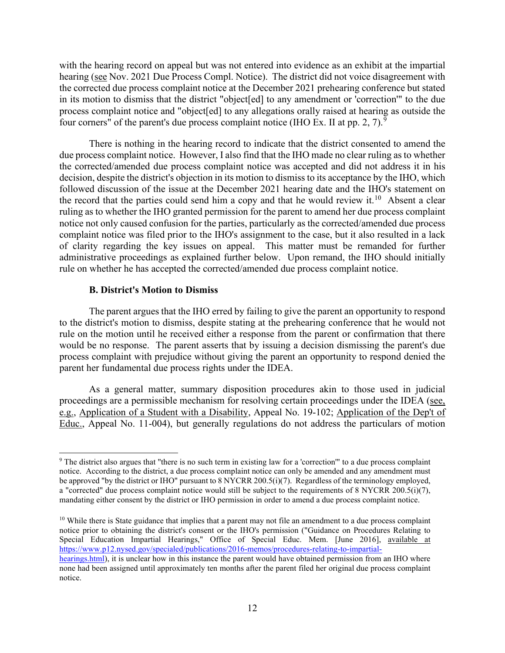hearing (see Nov. 2021 Due Process Compl. Notice). The district did not voice disagreement with the corrected due process complaint notice at the December 2021 prehearing conference but stated four corners" of the parent's due process complaint notice (IHO Ex. II at pp. 2, 7). $^9$  $^9$ with the hearing record on appeal but was not entered into evidence as an exhibit at the impartial in its motion to dismiss that the district "object[ed] to any amendment or 'correction'" to the due process complaint notice and "object[ed] to any allegations orally raised at hearing as outside the

 There is nothing in the hearing record to indicate that the district consented to amend the the record that the parties could send him a copy and that he would review it.<sup>[10](#page-11-1)</sup> Absent a clear notice not only caused confusion for the parties, particularly as the corrected/amended due process complaint notice was filed prior to the IHO's assignment to the case, but it also resulted in a lack of clarity regarding the key issues on appeal. This matter must be remanded for further rule on whether he has accepted the corrected/amended due process complaint notice. due process complaint notice. However, I also find that the IHO made no clear ruling as to whether the corrected/amended due process complaint notice was accepted and did not address it in his decision, despite the district's objection in its motion to dismiss to its acceptance by the IHO, which followed discussion of the issue at the December 2021 hearing date and the IHO's statement on ruling as to whether the IHO granted permission for the parent to amend her due process complaint administrative proceedings as explained further below. Upon remand, the IHO should initially

### **B. District's Motion to Dismiss**

 would be no response. The parent asserts that by issuing a decision dismissing the parent's due process complaint with prejudice without giving the parent an opportunity to respond denied the parent her fundamental due process rights under the IDEA. The parent argues that the IHO erred by failing to give the parent an opportunity to respond to the district's motion to dismiss, despite stating at the prehearing conference that he would not rule on the motion until he received either a response from the parent or confirmation that there

As a general matter, summary disposition procedures akin to those used in judicial proceedings are a permissible mechanism for resolving certain proceedings under the IDEA (see, e.g., Application of a Student with a Disability, Appeal No. 19-102; Application of the Dep't of Educ., Appeal No. 11-004), but generally regulations do not address the particulars of motion

<span id="page-11-0"></span> $9$  The district also argues that "there is no such term in existing law for a 'correction'" to a due process complaint be approved "by the district or IHO" pursuant to 8 NYCRR 200.5(i)(7). Regardless of the terminology employed, mandating either consent by the district or IHO permission in order to amend a due process complaint notice. notice. According to the district, a due process complaint notice can only be amended and any amendment must a "corrected" due process complaint notice would still be subject to the requirements of 8 NYCRR 200.5(i)(7),

<span id="page-11-1"></span> notice prior to obtaining the district's consent or the IHO's permission ("Guidance on Procedures Relating to  $10$  While there is State guidance that implies that a parent may not file an amendment to a due process complaint Special Education Impartial Hearings," Office of Special Educ. Mem. [June 2016], available at [https://www.p12.nysed.gov/specialed/publications/2016-memos/procedures-relating-to-impartial-](https://www.p12.nysed.gov/specialed/publications/2016-memos/procedures-relating-to-impartial-hearings.html)

 none had been assigned until approximately ten months after the parent filed her original due process complaint [hearings.html\)](https://www.p12.nysed.gov/specialed/publications/2016-memos/procedures-relating-to-impartial-hearings.html), it is unclear how in this instance the parent would have obtained permission from an IHO where notice.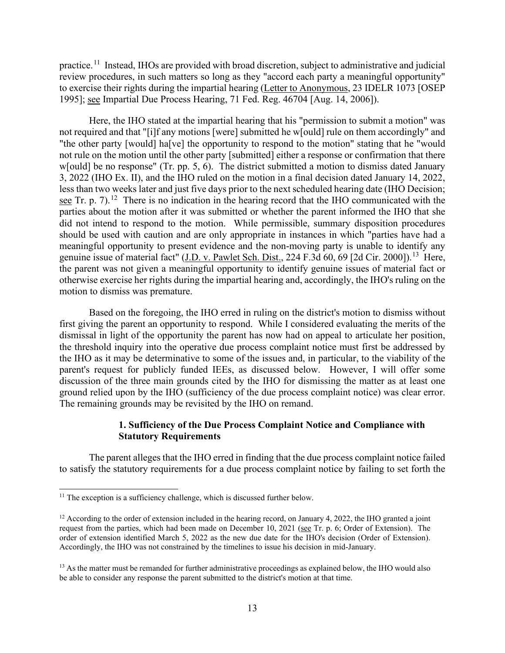practice.<sup>11</sup> Instead, IHOs are provided with broad discretion, subject to administrative and judicial 1995]; see Impartial Due Process Hearing, 71 Fed. Reg. 46704 [Aug. 14, 2006]). review procedures, in such matters so long as they "accord each party a meaningful opportunity" to exercise their rights during the impartial hearing (Letter to Anonymous, 23 IDELR 1073 [OSEP

 "the other party [would] ha[ve] the opportunity to respond to the motion" stating that he "would not rule on the motion until the other party [submitted] either a response or confirmation that there w[ould] be no response" (Tr. pp. 5, 6). The district submitted a motion to dismiss dated January 3, 2022 (IHO Ex. II), and the IHO ruled on the motion in a final decision dated January 14, 2022, see Tr. p. 7).<sup>[12](#page-12-1)</sup> There is no indication in the hearing record that the IHO communicated with the should be used with caution and are only appropriate in instances in which "parties have had a genuine issue of material fact" (J.D. v. Pawlet Sch. Dist., 224 F.3d 60, 69 [2d Cir. 2000]).<sup>[13](#page-12-2)</sup> Here, the parent was not given a meaningful opportunity to identify genuine issues of material fact or otherwise exercise her rights during the impartial hearing and, accordingly, the IHO's ruling on the Here, the IHO stated at the impartial hearing that his "permission to submit a motion" was not required and that "[i]f any motions [were] submitted he w[ould] rule on them accordingly" and less than two weeks later and just five days prior to the next scheduled hearing date (IHO Decision; parties about the motion after it was submitted or whether the parent informed the IHO that she did not intend to respond to the motion. While permissible, summary disposition procedures meaningful opportunity to present evidence and the non-moving party is unable to identify any motion to dismiss was premature.

 Based on the foregoing, the IHO erred in ruling on the district's motion to dismiss without parent's request for publicly funded IEEs, as discussed below. However, I will offer some ground relied upon by the IHO (sufficiency of the due process complaint notice) was clear error. The remaining grounds may be revisited by the IHO on remand. first giving the parent an opportunity to respond. While I considered evaluating the merits of the dismissal in light of the opportunity the parent has now had on appeal to articulate her position, the threshold inquiry into the operative due process complaint notice must first be addressed by the IHO as it may be determinative to some of the issues and, in particular, to the viability of the discussion of the three main grounds cited by the IHO for dismissing the matter as at least one

## **1. Sufficiency of the Due Process Complaint Notice and Compliance with Statutory Requirements**

 The parent alleges that the IHO erred in finding that the due process complaint notice failed to satisfy the statutory requirements for a due process complaint notice by failing to set forth the

<span id="page-12-0"></span> $11$  The exception is a sufficiency challenge, which is discussed further below.

<span id="page-12-1"></span> $12$  According to the order of extension included in the hearing record, on January 4, 2022, the IHO granted a joint request from the parties, which had been made on December 10, 2021 (see Tr. p. 6; Order of Extension). The order of extension identified March 5, 2022 as the new due date for the IHO's decision (Order of Extension). Accordingly, the IHO was not constrained by the timelines to issue his decision in mid-January.

<span id="page-12-2"></span><sup>&</sup>lt;sup>13</sup> As the matter must be remanded for further administrative proceedings as explained below, the IHO would also be able to consider any response the parent submitted to the district's motion at that time.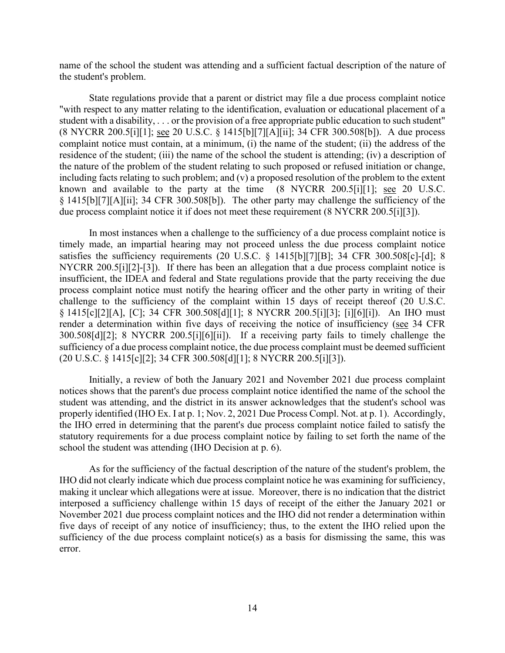name of the school the student was attending and a sufficient factual description of the nature of the student's problem.

 student with a disability, . . . or the provision of a free appropriate public education to such student" (8 NYCRR 200.5[i][1]; see 20 U.S.C. § 1415[b][7][A][ii]; 34 CFR 300.508[b]). A due process § 1415[b][7][A][ii]; 34 CFR 300.508[b]). The other party may challenge the sufficiency of the State regulations provide that a parent or district may file a due process complaint notice "with respect to any matter relating to the identification, evaluation or educational placement of a complaint notice must contain, at a minimum, (i) the name of the student; (ii) the address of the residence of the student; (iii) the name of the school the student is attending; (iv) a description of the nature of the problem of the student relating to such proposed or refused initiation or change, including facts relating to such problem; and  $(v)$  a proposed resolution of the problem to the extent known and available to the party at the time (8 NYCRR 200.5[i][1]; see 20 U.S.C. due process complaint notice it if does not meet these requirement (8 NYCRR 200.5[i][3]).

NYCRR 200.5[i][2]-[3]). If there has been an allegation that a due process complaint notice is § 1415[c][2][A], [C]; 34 CFR 300.508[d][1]; 8 NYCRR 200.5[i][3]; [i][6][i]). An IHO must (20 U.S.C. § 1415[c][2]; 34 CFR 300.508[d][1]; 8 NYCRR 200.5[i][3]). In most instances when a challenge to the sufficiency of a due process complaint notice is timely made, an impartial hearing may not proceed unless the due process complaint notice satisfies the sufficiency requirements (20 U.S.C. § 1415[b][7][B]; 34 CFR 300.508[c]-[d]; 8 insufficient, the IDEA and federal and State regulations provide that the party receiving the due process complaint notice must notify the hearing officer and the other party in writing of their challenge to the sufficiency of the complaint within 15 days of receipt thereof (20 U.S.C. render a determination within five days of receiving the notice of insufficiency (see 34 CFR 300.508[d][2]; 8 NYCRR 200.5[i][6][ii]). If a receiving party fails to timely challenge the sufficiency of a due process complaint notice, the due process complaint must be deemed sufficient

 Initially, a review of both the January 2021 and November 2021 due process complaint notices shows that the parent's due process complaint notice identified the name of the school the student was attending, and the district in its answer acknowledges that the student's school was properly identified (IHO Ex. I at p. 1; Nov. 2, 2021 Due Process Compl. Not. at p. 1). Accordingly, the IHO erred in determining that the parent's due process complaint notice failed to satisfy the statutory requirements for a due process complaint notice by failing to set forth the name of the school the student was attending (IHO Decision at p. 6).

As for the sufficiency of the factual description of the nature of the student's problem, the IHO did not clearly indicate which due process complaint notice he was examining for sufficiency, making it unclear which allegations were at issue. Moreover, there is no indication that the district interposed a sufficiency challenge within 15 days of receipt of the either the January 2021 or November 2021 due process complaint notices and the IHO did not render a determination within five days of receipt of any notice of insufficiency; thus, to the extent the IHO relied upon the sufficiency of the due process complaint notice(s) as a basis for dismissing the same, this was error.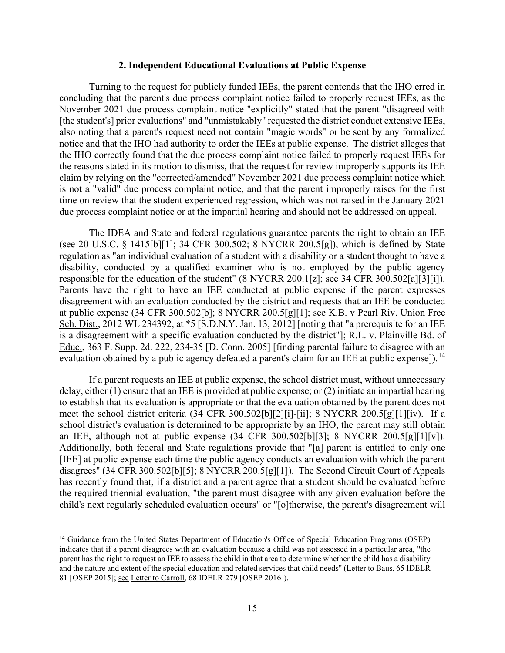#### **2. Independent Educational Evaluations at Public Expense**

 notice and that the IHO had authority to order the IEEs at public expense. The district alleges that the IHO correctly found that the due process complaint notice failed to properly request IEEs for the reasons stated in its motion to dismiss, that the request for review improperly supports its IEE due process complaint notice or at the impartial hearing and should not be addressed on appeal. Turning to the request for publicly funded IEEs, the parent contends that the IHO erred in concluding that the parent's due process complaint notice failed to properly request IEEs, as the November 2021 due process complaint notice "explicitly" stated that the parent "disagreed with [the student's] prior evaluations" and "unmistakably" requested the district conduct extensive IEEs, also noting that a parent's request need not contain "magic words" or be sent by any formalized claim by relying on the "corrected/amended" November 2021 due process complaint notice which is not a "valid" due process complaint notice, and that the parent improperly raises for the first time on review that the student experienced regression, which was not raised in the January 2021

responsible for the education of the student" (8 NYCRR 200.1[z]; <u>see</u> 34 CFR 300.502[a][3][i]). Sch. Dist., 2012 WL 234392, at \*5 [S.D.N.Y. Jan. 13, 2012] [noting that "a prerequisite for an IEE The IDEA and State and federal regulations guarantee parents the right to obtain an IEE (see 20 U.S.C. § 1415[b][1]; 34 CFR 300.502; 8 NYCRR 200.5[g]), which is defined by State regulation as "an individual evaluation of a student with a disability or a student thought to have a disability, conducted by a qualified examiner who is not employed by the public agency Parents have the right to have an IEE conducted at public expense if the parent expresses disagreement with an evaluation conducted by the district and requests that an IEE be conducted at public expense (34 CFR 300.502[b]; 8 NYCRR 200.5[g][1]; see K.B. v Pearl Riv. Union Free is a disagreement with a specific evaluation conducted by the district"]; R.L. v. Plainville Bd. of Educ., 363 F. Supp. 2d. 222, 234-35 [D. Conn. 2005] [finding parental failure to disagree with an evaluation obtained by a public agency defeated a parent's claim for an IEE at public expense]).<sup>14</sup>

 meet the school district criteria (34 CFR 300.502[b][2][i]-[ii]; 8 NYCRR 200.5[g][1][iv). If a If a parent requests an IEE at public expense, the school district must, without unnecessary delay, either (1) ensure that an IEE is provided at public expense; or (2) initiate an impartial hearing to establish that its evaluation is appropriate or that the evaluation obtained by the parent does not school district's evaluation is determined to be appropriate by an IHO, the parent may still obtain an IEE, although not at public expense (34 CFR 300.502[b][3]; 8 NYCRR 200.5[g][1][v]). Additionally, both federal and State regulations provide that "[a] parent is entitled to only one [IEE] at public expense each time the public agency conducts an evaluation with which the parent disagrees" (34 CFR 300.502[b][5]; 8 NYCRR 200.5[g][1]). The Second Circuit Court of Appeals has recently found that, if a district and a parent agree that a student should be evaluated before the required triennial evaluation, "the parent must disagree with any given evaluation before the child's next regularly scheduled evaluation occurs" or "[o]therwise, the parent's disagreement will

<span id="page-14-0"></span><sup>&</sup>lt;sup>14</sup> Guidance from the United States Department of Education's Office of Special Education Programs (OSEP) indicates that if a parent disagrees with an evaluation because a child was not assessed in a particular area, "the parent has the right to request an IEE to assess the child in that area to determine whether the child has a disability and the nature and extent of the special education and related services that child needs" (Letter to Baus, 65 IDELR 81 [OSEP 2015]; see Letter to Carroll, 68 IDELR 279 [OSEP 2016]).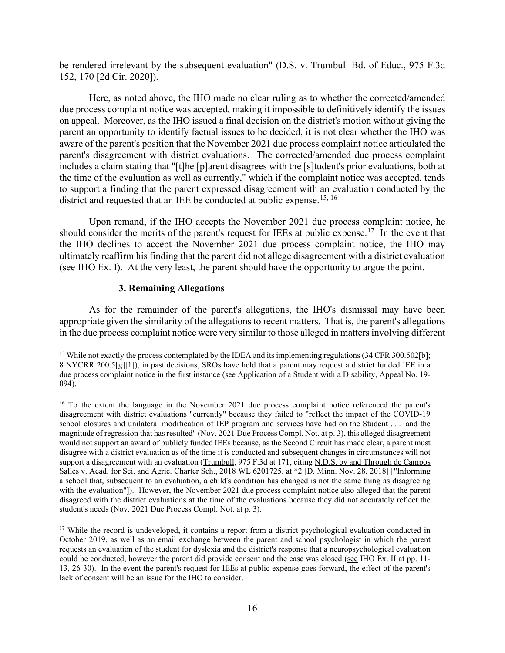be rendered irrelevant by the subsequent evaluation" (D.S. v. Trumbull Bd. of Educ., 975 F.3d 152, 170 [2d Cir. 2020]).

 parent's disagreement with district evaluations. The corrected/amended due process complaint the time of the evaluation as well as currently," which if the complaint notice was accepted, tends to support a finding that the parent expressed disagreement with an evaluation conducted by the Here, as noted above, the IHO made no clear ruling as to whether the corrected/amended due process complaint notice was accepted, making it impossible to definitively identify the issues on appeal. Moreover, as the IHO issued a final decision on the district's motion without giving the parent an opportunity to identify factual issues to be decided, it is not clear whether the IHO was aware of the parent's position that the November 2021 due process complaint notice articulated the includes a claim stating that "[t]he [p]arent disagrees with the [s]tudent's prior evaluations, both at district and requested that an IEE be conducted at public expense.<sup>[15](#page-15-0), 16</sup>

should consider the merits of the parent's request for IEEs at public expense.<sup>17</sup> In the event that Upon remand, if the IHO accepts the November 2021 due process complaint notice, he the IHO declines to accept the November 2021 due process complaint notice, the IHO may ultimately reaffirm his finding that the parent did not allege disagreement with a district evaluation (see IHO Ex. I). At the very least, the parent should have the opportunity to argue the point.

#### **3. Remaining Allegations**

As for the remainder of the parent's allegations, the IHO's dismissal may have been appropriate given the similarity of the allegations to recent matters. That is, the parent's allegations in the due process complaint notice were very similar to those alleged in matters involving different

<span id="page-15-0"></span> 8 NYCRR 200.5[g][1]), in past decisions, SROs have held that a parent may request a district funded IEE in a due process complaint notice in the first instance (see Application of a Student with a Disability, Appeal No. 19-<sup>15</sup> While not exactly the process contemplated by the IDEA and its implementing regulations (34 CFR 300.502[b]; 094).

<span id="page-15-1"></span><sup>&</sup>lt;sup>16</sup> To the extent the language in the November 2021 due process complaint notice referenced the parent's school closures and unilateral modification of IEP program and services have had on the Student . . . and the would not support an award of publicly funded IEEs because, as the Second Circuit has made clear, a parent must support a disagreement with an evaluation (Trumbull, 975 F.3d at 171, citing N.D.S. by and Through de Campos Salles v. Acad. for Sci. and Agric. Charter Sch., 2018 WL 6201725, at \*2 [D. Minn. Nov. 28, 2018] ["Informing a school that, subsequent to an evaluation, a child's condition has changed is not the same thing as disagreeing with the evaluation"]). However, the November 2021 due process complaint notice also alleged that the parent disagreement with district evaluations "currently" because they failed to "reflect the impact of the COVID-19 magnitude of regression that has resulted" (Nov. 2021 Due Process Compl. Not. at p. 3), this alleged disagreement disagree with a district evaluation as of the time it is conducted and subsequent changes in circumstances will not disagreed with the district evaluations at the time of the evaluations because they did not accurately reflect the student's needs (Nov. 2021 Due Process Compl. Not. at p. 3).

<span id="page-15-2"></span> October 2019, as well as an email exchange between the parent and school psychologist in which the parent could be conducted, however the parent did provide consent and the case was closed (see IHO Ex. II at pp. 11- 13, 26-30). In the event the parent's request for IEEs at public expense goes forward, the effect of the parent's <sup>17</sup> While the record is undeveloped, it contains a report from a district psychological evaluation conducted in requests an evaluation of the student for dyslexia and the district's response that a neuropsychological evaluation lack of consent will be an issue for the IHO to consider.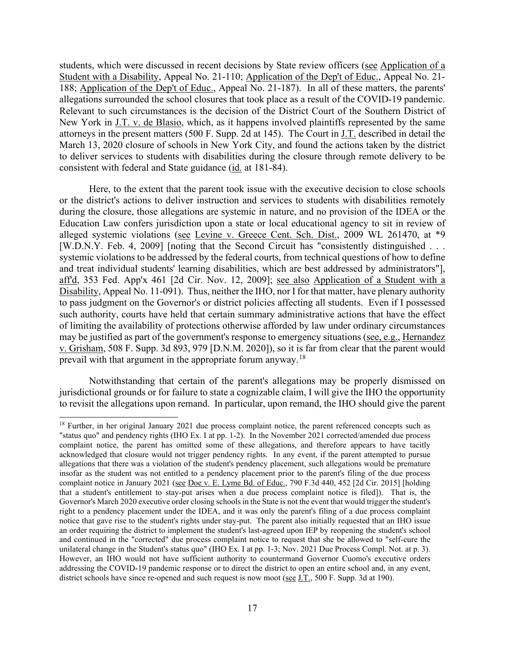allegations surrounded the school closures that took place as a result of the COVID-19 pandemic. consistent with federal and State guidance (id. at 181-84). students, which were discussed in recent decisions by State review officers (see Application of a Student with a Disability, Appeal No. 21-110; Application of the Dep't of Educ., Appeal No. 21- 188; Application of the Dep't of Educ., Appeal No. 21-187). In all of these matters, the parents' Relevant to such circumstances is the decision of the District Court of the Southern District of New York in <u>J.T. v. de Blasio</u>, which, as it happens involved plaintiffs represented by the same attorneys in the present matters (500 F. Supp. 2d at 145). The Court in J.T. described in detail the March 13, 2020 closure of schools in New York City, and found the actions taken by the district to deliver services to students with disabilities during the closure through remote delivery to be

 to pass judgment on the Governor's or district policies affecting all students. Even if I possessed Here, to the extent that the parent took issue with the executive decision to close schools or the district's actions to deliver instruction and services to students with disabilities remotely during the closure, those allegations are systemic in nature, and no provision of the IDEA or the Education Law confers jurisdiction upon a state or local educational agency to sit in review of alleged systemic violations (see Levine v. Greece Cent. Sch. Dist., 2009 WL 261470, at \*9 [W.D.N.Y. Feb. 4, 2009] [noting that the Second Circuit has "consistently distinguished . . . systemic violations to be addressed by the federal courts, from technical questions of how to define and treat individual students' learning disabilities, which are best addressed by administrators"], aff'd, 353 Fed. App'x 461 [2d Cir. Nov. 12, 2009]; see also Application of a Student with a Disability, Appeal No. 11-091). Thus, neither the IHO, nor I for that matter, have plenary authority such authority, courts have held that certain summary administrative actions that have the effect of limiting the availability of protections otherwise afforded by law under ordinary circumstances may be justified as part of the government's response to emergency situations (see, e.g., Hernandez v. Grisham, 508 F. Supp. 3d 893, 979 [D.N.M. 2020]), so it is far from clear that the parent would prevail with that argument in the appropriate forum anyway.[18](#page-16-0) 

 Notwithstanding that certain of the parent's allegations may be properly dismissed on jurisdictional grounds or for failure to state a cognizable claim, I will give the IHO the opportunity to revisit the allegations upon remand. In particular, upon remand, the IHO should give the parent

<span id="page-16-0"></span> "status quo" and pendency rights (IHO Ex. I at pp. 1-2). In the November 2021 corrected/amended due process allegations that there was a violation of the student's pendency placement, such allegations would be premature insofar as the student was not entitled to a pendency placement prior to the parent's filing of the due process notice that gave rise to the student's rights under stay-put. The parent also initially requested that an IHO issue <sup>18</sup> Further, in her original January 2021 due process complaint notice, the parent referenced concepts such as complaint notice, the parent has omitted some of these allegations, and therefore appears to have tacitly acknowledged that closure would not trigger pendency rights. In any event, if the parent attempted to pursue complaint notice in January 2021 (see Doe v. E. Lyme Bd. of Educ., 790 F.3d 440, 452 [2d Cir. 2015] [holding that a student's entitlement to stay-put arises when a due process complaint notice is filed]). That is, the Governor's March 2020 executive order closing schools in the State is not the event that would trigger the student's right to a pendency placement under the IDEA, and it was only the parent's filing of a due process complaint an order requiring the district to implement the student's last-agreed upon IEP by reopening the student's school and continued in the "corrected" due process complaint notice to request that she be allowed to "self-cure the unilateral change in the Student's status quo" (IHO Ex. I at pp. 1-3; Nov. 2021 Due Process Compl. Not. at p. 3). However, an IHO would not have sufficient authority to countermand Governor Cuomo's executive orders addressing the COVID-19 pandemic response or to direct the district to open an entire school and, in any event, district schools have since re-opened and such request is now moot (see J.T., 500 F. Supp. 3d at 190).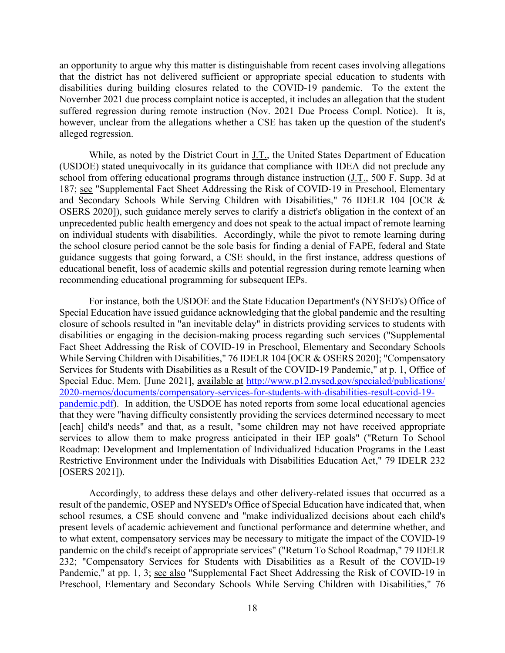an opportunity to argue why this matter is distinguishable from recent cases involving allegations that the district has not delivered sufficient or appropriate special education to students with disabilities during building closures related to the COVID-19 pandemic. To the extent the however, unclear from the allegations whether a CSE has taken up the question of the student's November 2021 due process complaint notice is accepted, it includes an allegation that the student suffered regression during remote instruction (Nov. 2021 Due Process Compl. Notice). It is, alleged regression.

While, as noted by the District Court in J.T., the United States Department of Education 187; see "Supplemental Fact Sheet Addressing the Risk of COVID-19 in Preschool, Elementary recommending educational programming for subsequent IEPs. (USDOE) stated unequivocally in its guidance that compliance with IDEA did not preclude any school from offering educational programs through distance instruction (J.T., 500 F. Supp. 3d at and Secondary Schools While Serving Children with Disabilities," 76 IDELR 104 [OCR & OSERS 2020]), such guidance merely serves to clarify a district's obligation in the context of an unprecedented public health emergency and does not speak to the actual impact of remote learning on individual students with disabilities. Accordingly, while the pivot to remote learning during the school closure period cannot be the sole basis for finding a denial of FAPE, federal and State guidance suggests that going forward, a CSE should, in the first instance, address questions of educational benefit, loss of academic skills and potential regression during remote learning when

For instance, both the USDOE and the State Education Department's (NYSED's) Office of Special Education have issued guidance acknowledging that the global pandemic and the resulting closure of schools resulted in "an inevitable delay" in districts providing services to students with disabilities or engaging in the decision-making process regarding such services ("Supplemental Fact Sheet Addressing the Risk of COVID-19 in Preschool, Elementary and Secondary Schools While Serving Children with Disabilities," 76 IDELR 104 [OCR & OSERS 2020]; "Compensatory Services for Students with Disabilities as a Result of the COVID-19 Pandemic," at p. 1, Office of Special Educ. Mem. [June 2021], available at [http://www.p12.nysed.gov/specialed/publications/](http://www.p12.nysed.gov/specialed/publications/%202020-memos/documents/compensatory-services-for-students-with-disabilities-result-covid-19-pandemic.pdf)  [2020-memos/documents/compensatory-services-for-students-with-disabilities-result-covid-19](http://www.p12.nysed.gov/specialed/publications/%202020-memos/documents/compensatory-services-for-students-with-disabilities-result-covid-19-pandemic.pdf) [pandemic.pdf\)](http://www.p12.nysed.gov/specialed/publications/%202020-memos/documents/compensatory-services-for-students-with-disabilities-result-covid-19-pandemic.pdf). In addition, the USDOE has noted reports from some local educational agencies that they were "having difficulty consistently providing the services determined necessary to meet [each] child's needs" and that, as a result, "some children may not have received appropriate services to allow them to make progress anticipated in their IEP goals" ("Return To School Roadmap: Development and Implementation of Individualized Education Programs in the Least Restrictive Environment under the Individuals with Disabilities Education Act," 79 IDELR 232 [OSERS 2021]).

Accordingly, to address these delays and other delivery-related issues that occurred as a result of the pandemic, OSEP and NYSED's Office of Special Education have indicated that, when school resumes, a CSE should convene and "make individualized decisions about each child's present levels of academic achievement and functional performance and determine whether, and to what extent, compensatory services may be necessary to mitigate the impact of the COVID-19 pandemic on the child's receipt of appropriate services" ("Return To School Roadmap," 79 IDELR 232; "Compensatory Services for Students with Disabilities as a Result of the COVID-19 Pandemic," at pp. 1, 3; see also "Supplemental Fact Sheet Addressing the Risk of COVID-19 in Preschool, Elementary and Secondary Schools While Serving Children with Disabilities," 76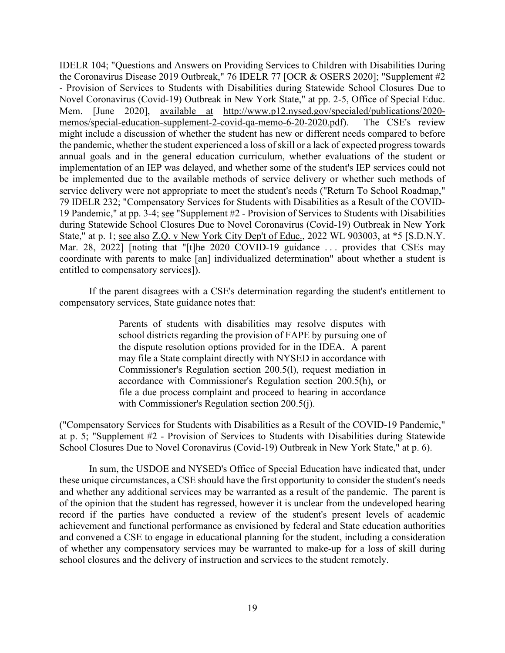Mar. 28, 2022] [noting that "[t]he 2020 COVID-19 guidance . . . provides that CSEs may coordinate with parents to make [an] individualized determination" about whether a student is IDELR 104; "Questions and Answers on Providing Services to Children with Disabilities During the Coronavirus Disease 2019 Outbreak," 76 IDELR 77 [OCR & OSERS 2020]; "Supplement #2 - Provision of Services to Students with Disabilities during Statewide School Closures Due to Novel Coronavirus (Covid-19) Outbreak in New York State," at pp. 2-5, Office of Special Educ. Mem. [June 2020], available at [http://www.p12.nysed.gov/specialed/publications/2020](http://www.p12.nysed.gov/specialed/publications/2020-memos/special-education-supplement-2-covid-qa-memo-6-20-2020.pdf) [memos/special-education-supplement-2-covid-qa-memo-6-20-2020.pdf\)](http://www.p12.nysed.gov/specialed/publications/2020-memos/special-education-supplement-2-covid-qa-memo-6-20-2020.pdf). The CSE's review might include a discussion of whether the student has new or different needs compared to before the pandemic, whether the student experienced a loss of skill or a lack of expected progress towards annual goals and in the general education curriculum, whether evaluations of the student or implementation of an IEP was delayed, and whether some of the student's IEP services could not be implemented due to the available methods of service delivery or whether such methods of service delivery were not appropriate to meet the student's needs ("Return To School Roadmap," 79 IDELR 232; "Compensatory Services for Students with Disabilities as a Result of the COVID-19 Pandemic," at pp. 3-4; see "Supplement #2 - Provision of Services to Students with Disabilities during Statewide School Closures Due to Novel Coronavirus (Covid-19) Outbreak in New York State," at p. 1; see also Z.Q. v New York City Dep't of Educ., 2022 WL 903003, at \*5 [S.D.N.Y. entitled to compensatory services]).

If the parent disagrees with a CSE's determination regarding the student's entitlement to compensatory services, State guidance notes that:

> Parents of students with disabilities may resolve disputes with school districts regarding the provision of FAPE by pursuing one of the dispute resolution options provided for in the IDEA. A parent may file a State complaint directly with NYSED in accordance with Commissioner's Regulation section 200.5(l), request mediation in accordance with Commissioner's Regulation section 200.5(h), or file a due process complaint and proceed to hearing in accordance with Commissioner's Regulation section 200.5(j).

("Compensatory Services for Students with Disabilities as a Result of the COVID-19 Pandemic," at p. 5; "Supplement #2 - Provision of Services to Students with Disabilities during Statewide School Closures Due to Novel Coronavirus (Covid-19) Outbreak in New York State," at p. 6).

 of the opinion that the student has regressed, however it is unclear from the undeveloped hearing In sum, the USDOE and NYSED's Office of Special Education have indicated that, under these unique circumstances, a CSE should have the first opportunity to consider the student's needs and whether any additional services may be warranted as a result of the pandemic. The parent is record if the parties have conducted a review of the student's present levels of academic achievement and functional performance as envisioned by federal and State education authorities and convened a CSE to engage in educational planning for the student, including a consideration of whether any compensatory services may be warranted to make-up for a loss of skill during school closures and the delivery of instruction and services to the student remotely.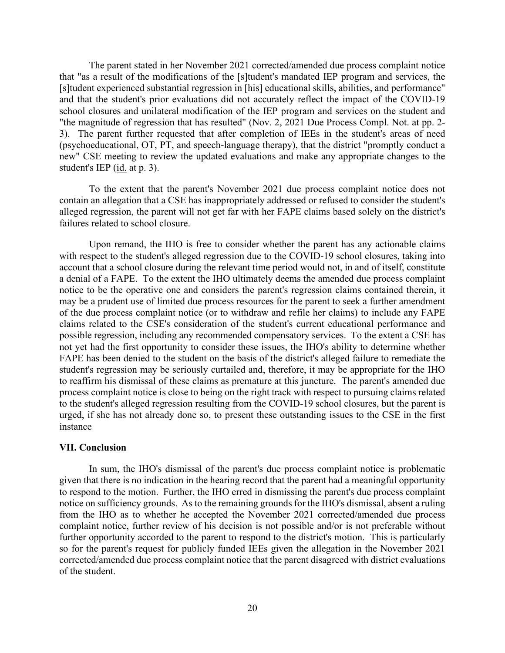The parent stated in her November 2021 corrected/amended due process complaint notice school closures and unilateral modification of the IEP program and services on the student and 3). The parent further requested that after completion of IEEs in the student's areas of need (psychoeducational, OT, PT, and speech-language therapy), that the district "promptly conduct a new" CSE meeting to review the updated evaluations and make any appropriate changes to the student's IEP (<u>id.</u> at p. 3). that "as a result of the modifications of the [s]tudent's mandated IEP program and services, the [s]tudent experienced substantial regression in [his] educational skills, abilities, and performance" and that the student's prior evaluations did not accurately reflect the impact of the COVID-19 "the magnitude of regression that has resulted" (Nov. 2, 2021 Due Process Compl. Not. at pp. 2-

 alleged regression, the parent will not get far with her FAPE claims based solely on the district's To the extent that the parent's November 2021 due process complaint notice does not contain an allegation that a CSE has inappropriately addressed or refused to consider the student's failures related to school closure.

 account that a school closure during the relevant time period would not, in and of itself, constitute a denial of a FAPE. To the extent the IHO ultimately deems the amended due process complaint student's regression may be seriously curtailed and, therefore, it may be appropriate for the IHO Upon remand, the IHO is free to consider whether the parent has any actionable claims with respect to the student's alleged regression due to the COVID-19 school closures, taking into notice to be the operative one and considers the parent's regression claims contained therein, it may be a prudent use of limited due process resources for the parent to seek a further amendment of the due process complaint notice (or to withdraw and refile her claims) to include any FAPE claims related to the CSE's consideration of the student's current educational performance and possible regression, including any recommended compensatory services. To the extent a CSE has not yet had the first opportunity to consider these issues, the IHO's ability to determine whether FAPE has been denied to the student on the basis of the district's alleged failure to remediate the to reaffirm his dismissal of these claims as premature at this juncture. The parent's amended due process complaint notice is close to being on the right track with respect to pursuing claims related to the student's alleged regression resulting from the COVID-19 school closures, but the parent is urged, if she has not already done so, to present these outstanding issues to the CSE in the first instance

#### **VII. Conclusion**

 complaint notice, further review of his decision is not possible and/or is not preferable without In sum, the IHO's dismissal of the parent's due process complaint notice is problematic given that there is no indication in the hearing record that the parent had a meaningful opportunity to respond to the motion. Further, the IHO erred in dismissing the parent's due process complaint notice on sufficiency grounds. As to the remaining grounds for the IHO's dismissal, absent a ruling from the IHO as to whether he accepted the November 2021 corrected/amended due process further opportunity accorded to the parent to respond to the district's motion. This is particularly so for the parent's request for publicly funded IEEs given the allegation in the November 2021 corrected/amended due process complaint notice that the parent disagreed with district evaluations of the student.